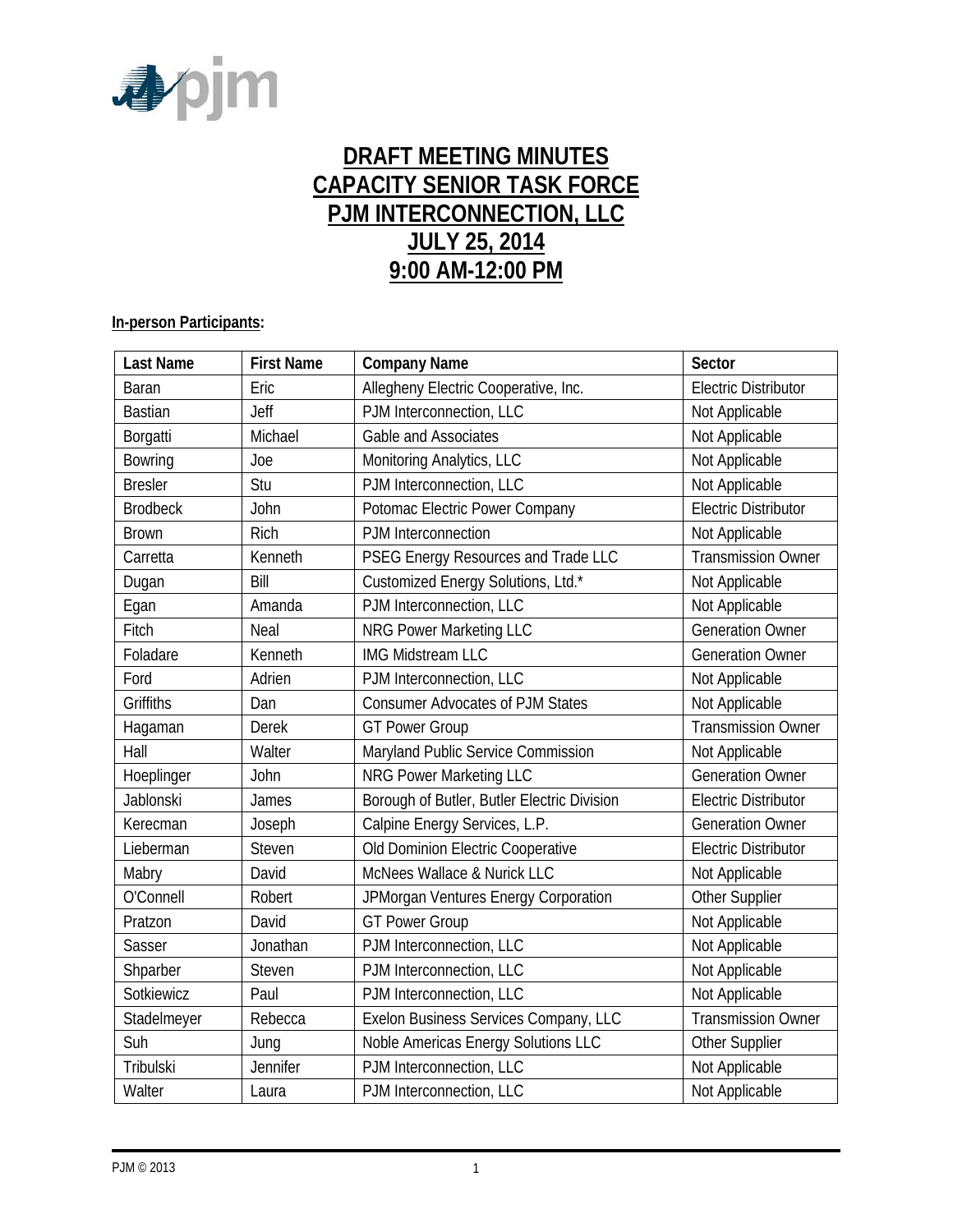

# **DRAFT MEETING MINUTES CAPACITY SENIOR TASK FORCE PJM INTERCONNECTION, LLC JULY 25, 2014 9:00 AM-12:00 PM**

#### **In-person Participants:**

| <b>Last Name</b> | <b>First Name</b> | <b>Company Name</b>                         | Sector                      |
|------------------|-------------------|---------------------------------------------|-----------------------------|
| Baran            | Eric              | Allegheny Electric Cooperative, Inc.        | <b>Electric Distributor</b> |
| <b>Bastian</b>   | Jeff              | PJM Interconnection, LLC                    | Not Applicable              |
| Borgatti         | Michael           | Gable and Associates                        | Not Applicable              |
| Bowring          | Joe               | Monitoring Analytics, LLC                   | Not Applicable              |
| <b>Bresler</b>   | Stu               | PJM Interconnection, LLC                    | Not Applicable              |
| <b>Brodbeck</b>  | John              | Potomac Electric Power Company              | <b>Electric Distributor</b> |
| <b>Brown</b>     | Rich              | PJM Interconnection                         | Not Applicable              |
| Carretta         | Kenneth           | PSEG Energy Resources and Trade LLC         | <b>Transmission Owner</b>   |
| Dugan            | Bill              | Customized Energy Solutions, Ltd.*          | Not Applicable              |
| Egan             | Amanda            | PJM Interconnection, LLC                    | Not Applicable              |
| Fitch            | Neal              | <b>NRG Power Marketing LLC</b>              | <b>Generation Owner</b>     |
| Foladare         | Kenneth           | <b>IMG Midstream LLC</b>                    | <b>Generation Owner</b>     |
| Ford             | Adrien            | PJM Interconnection, LLC                    | Not Applicable              |
| <b>Griffiths</b> | Dan               | <b>Consumer Advocates of PJM States</b>     | Not Applicable              |
| Hagaman          | <b>Derek</b>      | <b>GT Power Group</b>                       | <b>Transmission Owner</b>   |
| Hall             | Walter            | Maryland Public Service Commission          | Not Applicable              |
| Hoeplinger       | John              | <b>NRG Power Marketing LLC</b>              | <b>Generation Owner</b>     |
| Jablonski        | James             | Borough of Butler, Butler Electric Division | <b>Electric Distributor</b> |
| Kerecman         | Joseph            | Calpine Energy Services, L.P.               | <b>Generation Owner</b>     |
| Lieberman        | Steven            | Old Dominion Electric Cooperative           | <b>Electric Distributor</b> |
| Mabry            | David             | McNees Wallace & Nurick LLC                 | Not Applicable              |
| O'Connell        | Robert            | JPMorgan Ventures Energy Corporation        | Other Supplier              |
| Pratzon          | David             | <b>GT Power Group</b>                       | Not Applicable              |
| Sasser           | Jonathan          | PJM Interconnection, LLC                    | Not Applicable              |
| Shparber         | Steven            | PJM Interconnection, LLC                    | Not Applicable              |
| Sotkiewicz       | Paul              | PJM Interconnection, LLC                    | Not Applicable              |
| Stadelmeyer      | Rebecca           | Exelon Business Services Company, LLC       | <b>Transmission Owner</b>   |
| Suh              | Jung              | Noble Americas Energy Solutions LLC         | Other Supplier              |
| Tribulski        | Jennifer          | PJM Interconnection, LLC                    | Not Applicable              |
| Walter           | Laura             | PJM Interconnection, LLC                    | Not Applicable              |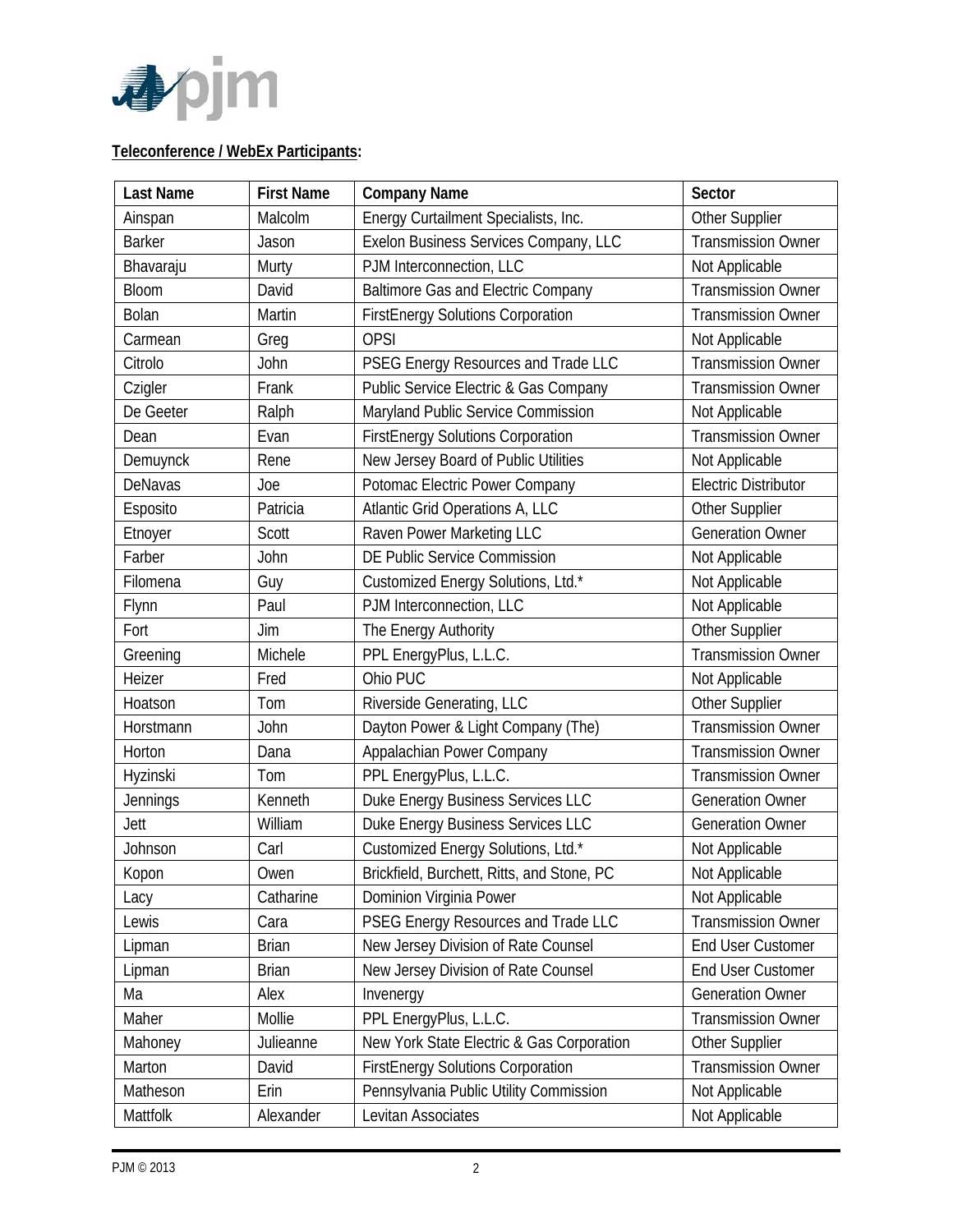

## **Teleconference / WebEx Participants:**

| <b>Last Name</b> | <b>First Name</b> | <b>Company Name</b>                        | Sector                      |
|------------------|-------------------|--------------------------------------------|-----------------------------|
| Ainspan          | Malcolm           | Energy Curtailment Specialists, Inc.       | Other Supplier              |
| <b>Barker</b>    | Jason             | Exelon Business Services Company, LLC      | <b>Transmission Owner</b>   |
| Bhavaraju        | Murty             | PJM Interconnection, LLC                   | Not Applicable              |
| Bloom            | David             | <b>Baltimore Gas and Electric Company</b>  | <b>Transmission Owner</b>   |
| Bolan            | Martin            | <b>FirstEnergy Solutions Corporation</b>   | <b>Transmission Owner</b>   |
| Carmean          | Greg              | <b>OPSI</b>                                | Not Applicable              |
| Citrolo          | John              | PSEG Energy Resources and Trade LLC        | <b>Transmission Owner</b>   |
| Czigler          | Frank             | Public Service Electric & Gas Company      | <b>Transmission Owner</b>   |
| De Geeter        | Ralph             | Maryland Public Service Commission         | Not Applicable              |
| Dean             | Evan              | <b>FirstEnergy Solutions Corporation</b>   | <b>Transmission Owner</b>   |
| Demuynck         | Rene              | New Jersey Board of Public Utilities       | Not Applicable              |
| DeNavas          | Joe               | Potomac Electric Power Company             | <b>Electric Distributor</b> |
| Esposito         | Patricia          | Atlantic Grid Operations A, LLC            | Other Supplier              |
| Etnoyer          | Scott             | Raven Power Marketing LLC                  | <b>Generation Owner</b>     |
| Farber           | <b>John</b>       | DE Public Service Commission               | Not Applicable              |
| Filomena         | Guy               | Customized Energy Solutions, Ltd.*         | Not Applicable              |
| Flynn            | Paul              | PJM Interconnection, LLC                   | Not Applicable              |
| Fort             | Jim               | The Energy Authority                       | Other Supplier              |
| Greening         | Michele           | PPL EnergyPlus, L.L.C.                     | <b>Transmission Owner</b>   |
| Heizer           | Fred              | Ohio PUC                                   | Not Applicable              |
| Hoatson          | Tom               | Riverside Generating, LLC                  | Other Supplier              |
| Horstmann        | John              | Dayton Power & Light Company (The)         | <b>Transmission Owner</b>   |
| Horton           | Dana              | Appalachian Power Company                  | <b>Transmission Owner</b>   |
| Hyzinski         | Tom               | PPL EnergyPlus, L.L.C.                     | <b>Transmission Owner</b>   |
| Jennings         | Kenneth           | Duke Energy Business Services LLC          | <b>Generation Owner</b>     |
| Jett             | William           | Duke Energy Business Services LLC          | <b>Generation Owner</b>     |
| Johnson          | Carl              | Customized Energy Solutions, Ltd.*         | Not Applicable              |
| Kopon            | Owen              | Brickfield, Burchett, Ritts, and Stone, PC | Not Applicable              |
| Lacy             | Catharine         | Dominion Virginia Power                    | Not Applicable              |
| Lewis            | Cara              | PSEG Energy Resources and Trade LLC        | <b>Transmission Owner</b>   |
| Lipman           | <b>Brian</b>      | New Jersey Division of Rate Counsel        | End User Customer           |
| Lipman           | <b>Brian</b>      | New Jersey Division of Rate Counsel        | End User Customer           |
| Ma               | Alex              | Invenergy                                  | <b>Generation Owner</b>     |
| Maher            | Mollie            | PPL EnergyPlus, L.L.C.                     | <b>Transmission Owner</b>   |
| Mahoney          | Julieanne         | New York State Electric & Gas Corporation  | Other Supplier              |
| Marton           | David             | <b>FirstEnergy Solutions Corporation</b>   | <b>Transmission Owner</b>   |
| Matheson         | Erin              | Pennsylvania Public Utility Commission     | Not Applicable              |
| Mattfolk         | Alexander         | Levitan Associates                         | Not Applicable              |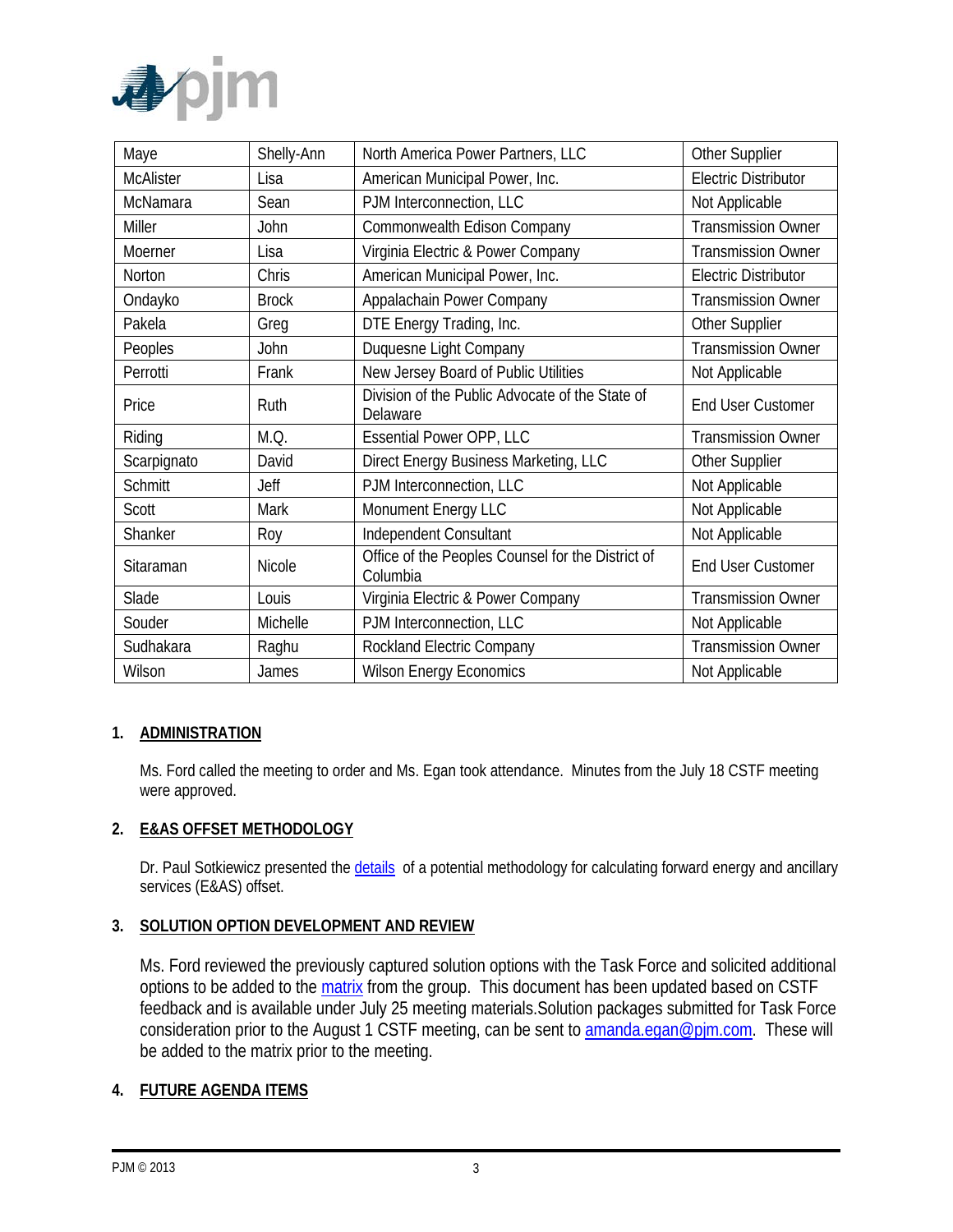

| Maye             | Shelly-Ann    | North America Power Partners, LLC                             | Other Supplier              |
|------------------|---------------|---------------------------------------------------------------|-----------------------------|
| <b>McAlister</b> | Lisa          | American Municipal Power, Inc.                                | <b>Electric Distributor</b> |
| McNamara         | Sean          | PJM Interconnection, LLC                                      | Not Applicable              |
| Miller           | John          | Commonwealth Edison Company                                   | <b>Transmission Owner</b>   |
| Moerner          | Lisa          | Virginia Electric & Power Company                             | <b>Transmission Owner</b>   |
| Norton           | Chris         | American Municipal Power, Inc.                                | <b>Electric Distributor</b> |
| Ondayko          | <b>Brock</b>  | Appalachain Power Company                                     | <b>Transmission Owner</b>   |
| Pakela           | Greg          | DTE Energy Trading, Inc.                                      | Other Supplier              |
| Peoples          | John          | Duquesne Light Company                                        | <b>Transmission Owner</b>   |
| Perrotti         | Frank         | New Jersey Board of Public Utilities                          | Not Applicable              |
| Price            | Ruth          | Division of the Public Advocate of the State of<br>Delaware   | <b>End User Customer</b>    |
| Riding           | M.Q.          | <b>Essential Power OPP, LLC</b>                               | <b>Transmission Owner</b>   |
| Scarpignato      | David         | Direct Energy Business Marketing, LLC                         | Other Supplier              |
| <b>Schmitt</b>   | Jeff          | PJM Interconnection, LLC                                      | Not Applicable              |
| Scott            | Mark          | Monument Energy LLC                                           | Not Applicable              |
| Shanker          | Roy           | Independent Consultant                                        | Not Applicable              |
| Sitaraman        | <b>Nicole</b> | Office of the Peoples Counsel for the District of<br>Columbia | <b>End User Customer</b>    |
| Slade            | Louis         | Virginia Electric & Power Company                             | <b>Transmission Owner</b>   |
| Souder           | Michelle      | PJM Interconnection, LLC                                      | Not Applicable              |
| Sudhakara        | Raghu         | Rockland Electric Company                                     | <b>Transmission Owner</b>   |
| Wilson           | James         | <b>Wilson Energy Economics</b>                                | Not Applicable              |

## **1. ADMINISTRATION**

Ms. Ford called the meeting to order and Ms. Egan took attendance. Minutes from the July 18 CSTF meeting were approved.

### **2. E&AS OFFSET METHODOLOGY**

Dr. Paul Sotkiewicz presented the *details* of a potential methodology for calculating forward energy and ancillary services (E&AS) offset.

### **3. SOLUTION OPTION DEVELOPMENT AND REVIEW**

Ms. Ford reviewed the previously captured solution options with the Task Force and solicited additional options to be added to the [matrix](http://www.pjm.com/~/media/committees-groups/task-forces/cstf/20140725/20140725-post-meeting-matrix.ashx) from the group. This document has been updated based on CSTF feedback and is available under July 25 meeting materials.Solution packages submitted for Task Force consideration prior to the August 1 CSTF meeting, can be sent to [amanda.egan@pjm.com.](mailto:amanda.egan@pjm.com) These will be added to the matrix prior to the meeting.

### **4. FUTURE AGENDA ITEMS**